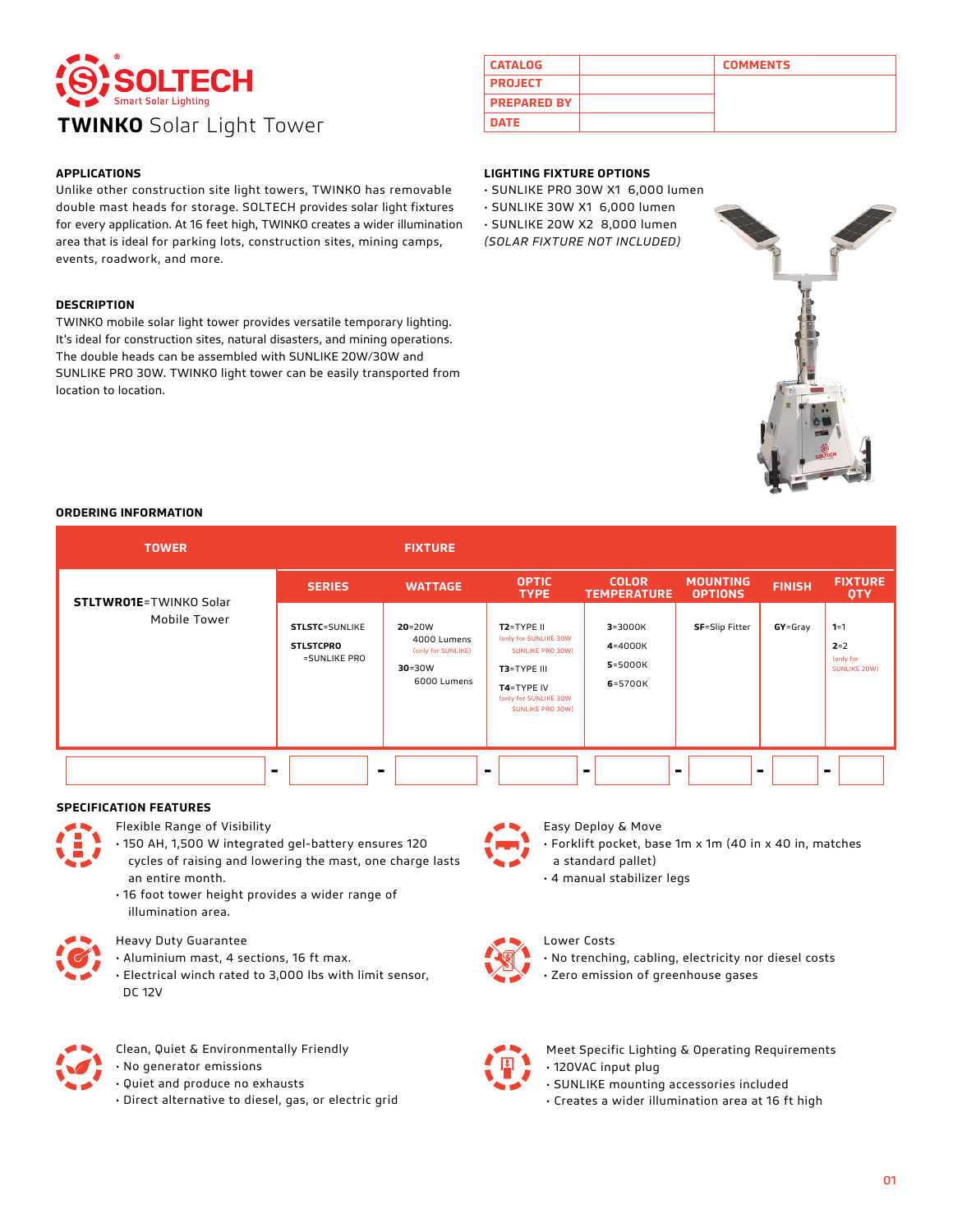

## **APPLICATIONS**

Unlike other construction site light towers, TWINKO has removable double mast heads for storage. SOLTECH provides solar light fixtures for every application. At 16 feet high, TWINKO creates a wider illumination area that is ideal for parking lots, construction sites, mining camps, events, roadwork, and more.

#### **DESCRIPTION**

TWINKO mobile solar light tower provides versatile temporary lighting. It's ideal for construction sites, natural disasters, and mining operations. The double heads can be assembled with SUNLIKE 20W/30W and SUNLIKE PRO 30W. TWINKO light tower can be easily transported from location to location.

| <b>CATALOG</b>     | <b>COMMENTS</b> |
|--------------------|-----------------|
| <b>PROJECT</b>     |                 |
| <b>PREPARED BY</b> |                 |
| <b>DATE</b>        |                 |

## **LIGHTING FIXTURE OPTIONS**

- SUNLIKE PRO 30W X1 6,000 lumen
- SUNLIKE 30W X1 6,000 lumen
- SUNLIKE 20W X2 8,000 lumen *(SOLAR FIXTURE NOT INCLUDED)*



### **ORDERING INFORMATION**

| <b>TOWER</b>                   |                                                           | <b>FIXTURE</b>                                                               |                                                                                                                                   |                                                  |                                   |               |                                                 |
|--------------------------------|-----------------------------------------------------------|------------------------------------------------------------------------------|-----------------------------------------------------------------------------------------------------------------------------------|--------------------------------------------------|-----------------------------------|---------------|-------------------------------------------------|
| <b>STLTWR01E</b> =TWINKO Solar | <b>SERIES</b>                                             | <b>WATTAGE</b>                                                               | <b>OPTIC</b><br><b>TYPE</b>                                                                                                       | <b>COLOR</b><br><b>TEMPERATURE</b>               | <b>MOUNTING</b><br><b>OPTIONS</b> | <b>FINISH</b> | <b>FIXTURE</b><br><b>OTY</b>                    |
| Mobile Tower                   | <b>STLSTC=SUNLIKE</b><br><b>STLSTCPRO</b><br>=SUNLIKE PRO | $20 = 20W$<br>4000 Lumens<br>(only for SUNLIKE)<br>$30 = 30W$<br>6000 Lumens | T2=TYPE II<br>(only for SUNLIKE 30W<br>SUNLIKE PRO 30W)<br>T3=TYPE III<br>T4=TYPE IV<br>(only for SUNLIKE 30W<br>SUNLIKE PRO 30W) | $3 = 3000K$<br>4=4000K<br>$5 = 5000K$<br>6=5700K | <b>SF</b> =Slip Fitter            | $GY = Gray$   | $1 = 1$<br>$2 = 2$<br>(only for<br>SUNLIKE 20W) |
|                                |                                                           |                                                                              | $\sim$                                                                                                                            |                                                  |                                   |               |                                                 |

## **SPECIFICATION FEATURES**

- Flexible Range of Visibility
- 150 AH, 1,500 W integrated gel-battery ensures 120 cycles of raising and lowering the mast, one charge lasts
- an entire month. • 16 foot tower height provides a wider range of illumination area.

- Heavy Duty Guarantee
- Aluminium mast, 4 sections, 16 ft max.
- Electrical winch rated to 3,000 lbs with limit sensor, DC 12V



- Clean, Quiet & Environmentally Friendly
- No generator emissions
- Quiet and produce no exhausts
- Direct alternative to diesel, gas, or electric grid



## Easy Deploy & Move

• Forklift pocket, base 1m x 1m (40 in x 40 in, matches a standard pallet)

• 4 manual stabilizer legs



## Lower Costs

• No trenching, cabling, electricity nor diesel costs

• Zero emission of greenhouse gases



## Meet Specific Lighting & Operating Requirements • 120VAC input plug

- SUNLIKE mounting accessories included
- Creates a wider illumination area at 16 ft high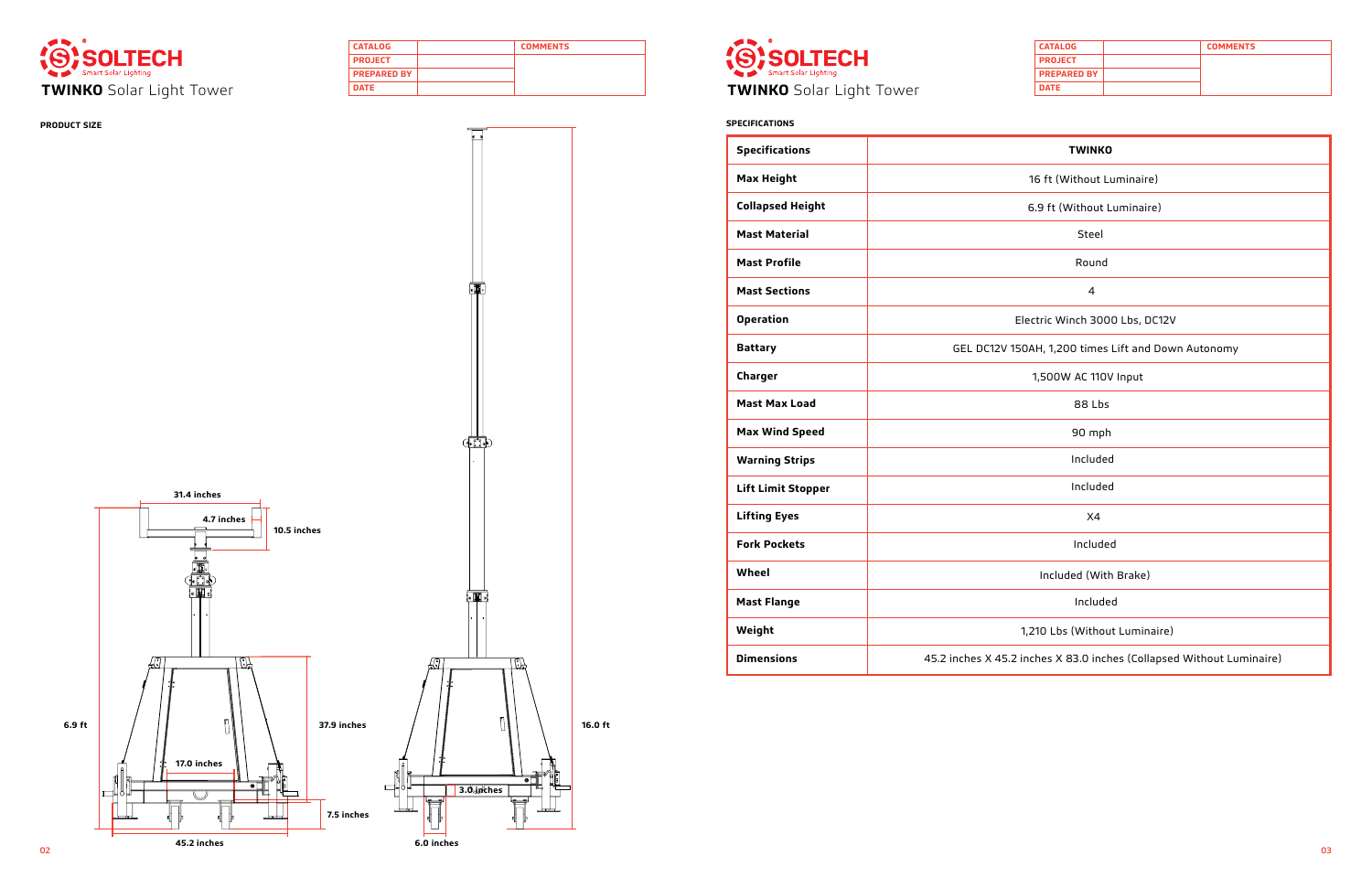| <b>CATALOG</b>     | <b>COMMENTS</b> |
|--------------------|-----------------|
| <b>PROJECT</b>     |                 |
| <b>PREPARED BY</b> |                 |
| <b>DATE</b>        |                 |



| <b>CATALOG</b>     | <b>COMMENTS</b> |
|--------------------|-----------------|
| <b>PROJECT</b>     |                 |
| <b>PREPARED BY</b> |                 |
| <b>DATE</b>        |                 |



![](_page_1_Picture_2.jpeg)

# **PRODUCT SIZE SPECIFICATIONS**

| <b>Specifications</b>     | <b>TWINKO</b>                                                         |  |  |  |  |  |  |  |
|---------------------------|-----------------------------------------------------------------------|--|--|--|--|--|--|--|
| <b>Max Height</b>         | 16 ft (Without Luminaire)                                             |  |  |  |  |  |  |  |
| <b>Collapsed Height</b>   | 6.9 ft (Without Luminaire)                                            |  |  |  |  |  |  |  |
| <b>Mast Material</b>      | Steel                                                                 |  |  |  |  |  |  |  |
| <b>Mast Profile</b>       | Round                                                                 |  |  |  |  |  |  |  |
| <b>Mast Sections</b>      | $\overline{\mathcal{A}}$                                              |  |  |  |  |  |  |  |
| <b>Operation</b>          | Electric Winch 3000 Lbs, DC12V                                        |  |  |  |  |  |  |  |
| <b>Battary</b>            | GEL DC12V 150AH, 1,200 times Lift and Down Autonomy                   |  |  |  |  |  |  |  |
| Charger                   | 1,500W AC 110V Input                                                  |  |  |  |  |  |  |  |
| <b>Mast Max Load</b>      | 88 Lbs                                                                |  |  |  |  |  |  |  |
| <b>Max Wind Speed</b>     | 90 mph                                                                |  |  |  |  |  |  |  |
| <b>Warning Strips</b>     | Included                                                              |  |  |  |  |  |  |  |
| <b>Lift Limit Stopper</b> | Included                                                              |  |  |  |  |  |  |  |
| <b>Lifting Eyes</b>       | X <sub>4</sub>                                                        |  |  |  |  |  |  |  |
| <b>Fork Pockets</b>       | Included                                                              |  |  |  |  |  |  |  |
| Wheel                     | Included (With Brake)                                                 |  |  |  |  |  |  |  |
| <b>Mast Flange</b>        | Included                                                              |  |  |  |  |  |  |  |
| Weight                    | 1,210 Lbs (Without Luminaire)                                         |  |  |  |  |  |  |  |
| <b>Dimensions</b>         | 45.2 inches X 45.2 inches X 83.0 inches (Collapsed Without Luminaire) |  |  |  |  |  |  |  |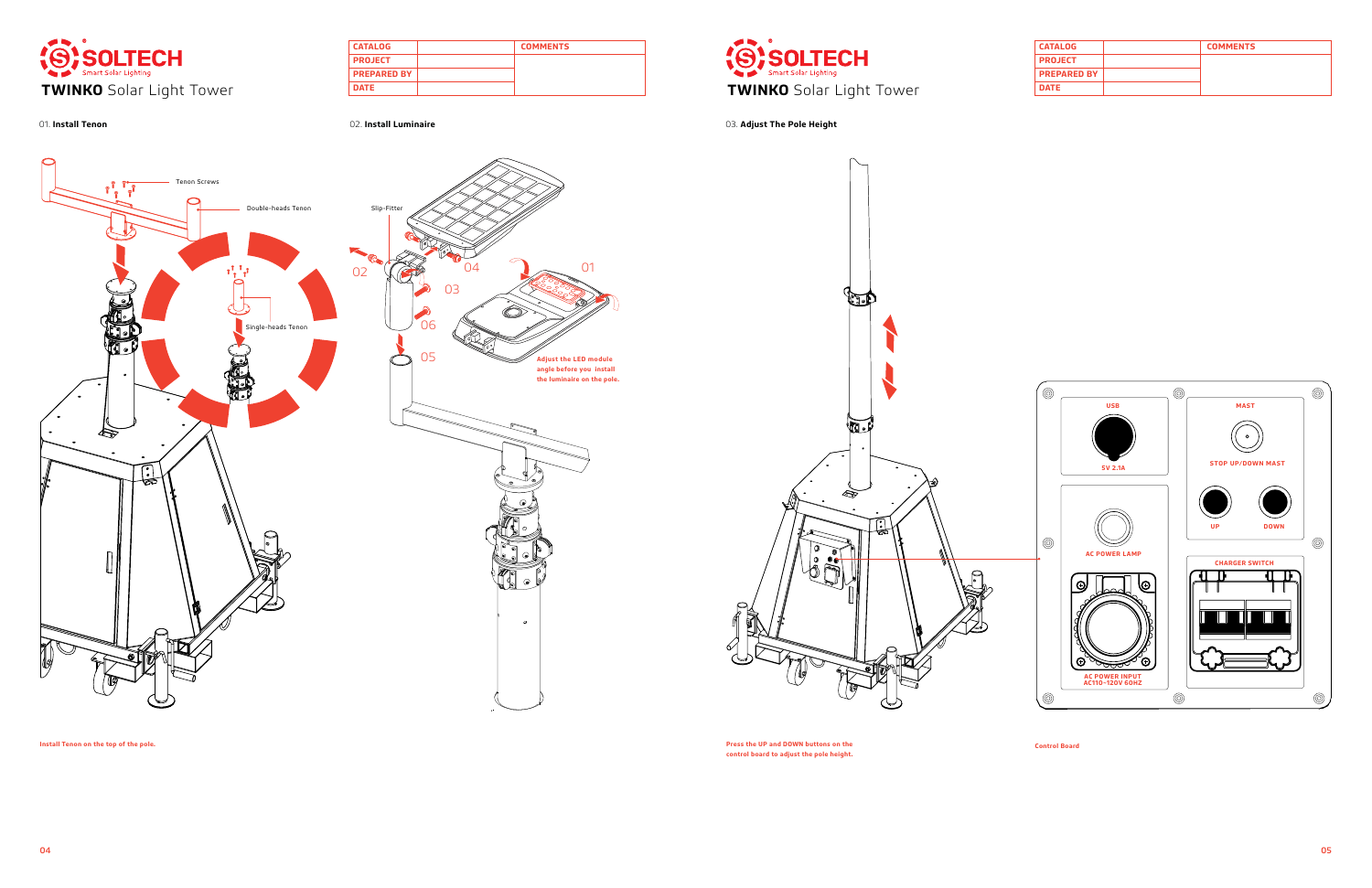| <b>CATALOG</b>     | <b>COMMENTS</b> |
|--------------------|-----------------|
| <b>PROJECT</b>     |                 |
| <b>PREPARED BY</b> |                 |
| <b>DATE</b>        |                 |

![](_page_2_Picture_0.jpeg)

| <b>CATALOG</b>     | <b>COMMENTS</b> |
|--------------------|-----------------|
| <b>PROJECT</b>     |                 |
| <b>PREPARED BY</b> |                 |
| <b>DATE</b>        |                 |

![](_page_2_Picture_2.jpeg)

01. **Install Tenon** 02. **Install Luminaire** 03. **Adjust The Pole Height**

**Install Tenon on the top of the pole. Press the UP and DOWN buttons on the control board to adjust the pole height.** 

**Control Board**

![](_page_2_Figure_4.jpeg)

![](_page_2_Picture_6.jpeg)

![](_page_2_Figure_11.jpeg)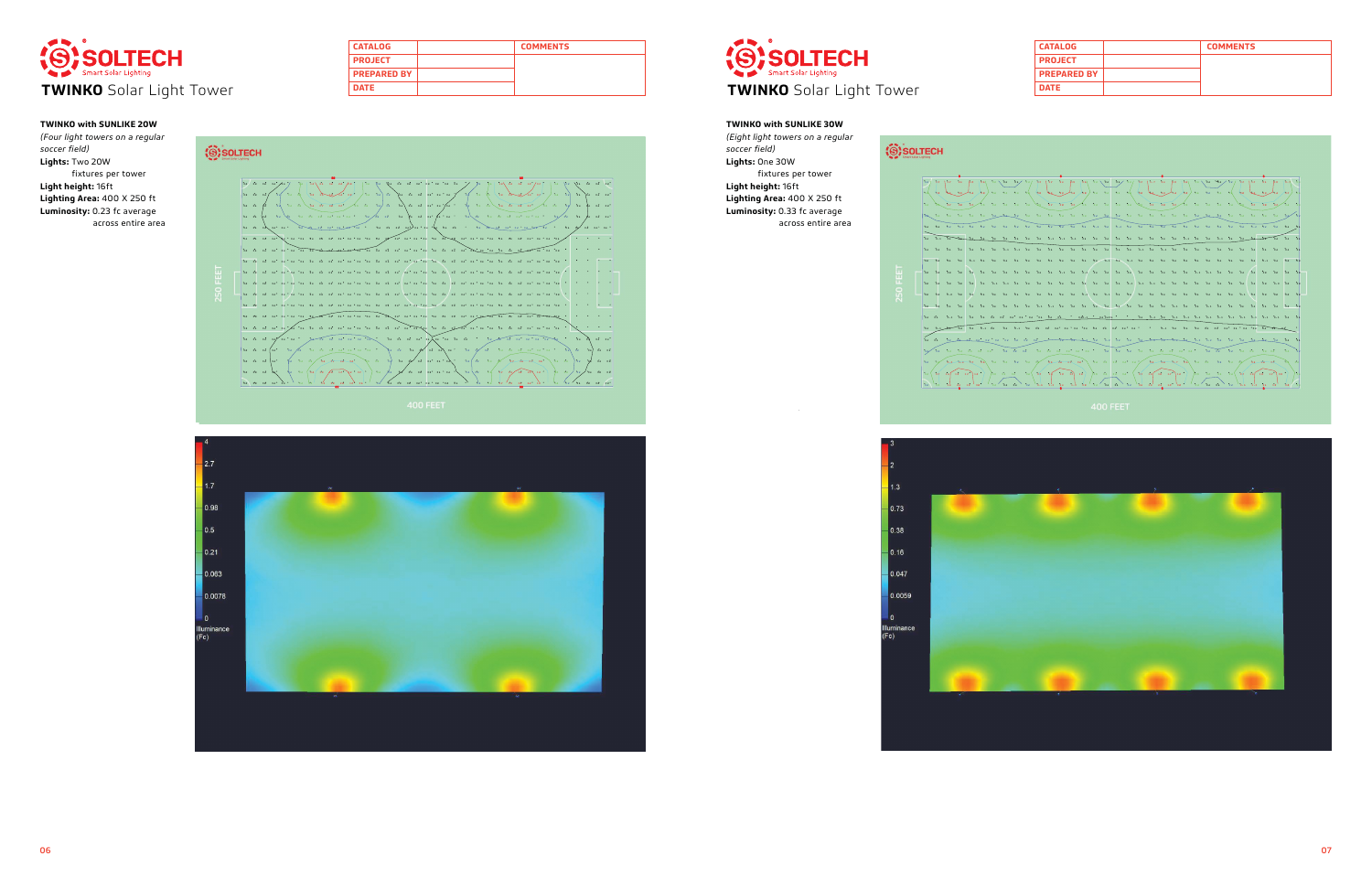| <b>CATALOG</b>     | <b>COMMENTS</b> |
|--------------------|-----------------|
| <b>PROJECT</b>     |                 |
| <b>PREPARED BY</b> |                 |
| <b>DATE</b>        |                 |

![](_page_3_Picture_0.jpeg)

| <b>CATALOG</b>     | <b>COMMENTS</b> |
|--------------------|-----------------|
| <b>PROJECT</b>     |                 |
| <b>PREPARED BY</b> |                 |
| <b>DATE</b>        |                 |

![](_page_3_Picture_7.jpeg)

![](_page_3_Picture_11.jpeg)

![](_page_3_Picture_12.jpeg)

|  |  |  |  |  |  |  |  | .<br>02/02/02/02/02/03/04/03/01/02/03/02/02/02/03/04/03/03/02/03/02/03/02/11/22/05/06/03/03/02/02/02/02/05/04<br>د وه اړه ده او د وه د مواليون علي وه او ده اوه ده د وه او مختل او او د او او او او او او ده ده ده د وه او او ا                                                                           |  |  |  |  |  |  |  |  |
|--|--|--|--|--|--|--|--|-----------------------------------------------------------------------------------------------------------------------------------------------------------------------------------------------------------------------------------------------------------------------------------------------------------|--|--|--|--|--|--|--|--|
|  |  |  |  |  |  |  |  | $\frac{1}{2}$ , $\frac{1}{2}$ , $\frac{1}{2}$ , $\frac{1}{2}$ , $\frac{1}{2}$ , $\frac{1}{2}$ , $\frac{1}{2}$ , $\frac{1}{2}$ , $\frac{1}{2}$ , $\frac{1}{2}$ , $\frac{1}{2}$ , $\frac{1}{2}$ , $\frac{1}{2}$ , $\frac{1}{2}$ , $\frac{1}{2}$ , $\frac{1}{2}$ , $\frac{1}{2}$ , $\frac{1}{2}$ , $\frac{1$ |  |  |  |  |  |  |  |  |
|  |  |  |  |  |  |  |  |                                                                                                                                                                                                                                                                                                           |  |  |  |  |  |  |  |  |
|  |  |  |  |  |  |  |  |                                                                                                                                                                                                                                                                                                           |  |  |  |  |  |  |  |  |
|  |  |  |  |  |  |  |  |                                                                                                                                                                                                                                                                                                           |  |  |  |  |  |  |  |  |
|  |  |  |  |  |  |  |  | 02 62 62 62 62 62 62 63 63 62 62 62 62 62 62 62 62 62 63 63 63 63 63 63 64 64 64 65 67 68 68 69 69 69 69                                                                                                                                                                                                  |  |  |  |  |  |  |  |  |
|  |  |  |  |  |  |  |  |                                                                                                                                                                                                                                                                                                           |  |  |  |  |  |  |  |  |
|  |  |  |  |  |  |  |  |                                                                                                                                                                                                                                                                                                           |  |  |  |  |  |  |  |  |
|  |  |  |  |  |  |  |  |                                                                                                                                                                                                                                                                                                           |  |  |  |  |  |  |  |  |
|  |  |  |  |  |  |  |  |                                                                                                                                                                                                                                                                                                           |  |  |  |  |  |  |  |  |
|  |  |  |  |  |  |  |  |                                                                                                                                                                                                                                                                                                           |  |  |  |  |  |  |  |  |
|  |  |  |  |  |  |  |  |                                                                                                                                                                                                                                                                                                           |  |  |  |  |  |  |  |  |
|  |  |  |  |  |  |  |  |                                                                                                                                                                                                                                                                                                           |  |  |  |  |  |  |  |  |
|  |  |  |  |  |  |  |  |                                                                                                                                                                                                                                                                                                           |  |  |  |  |  |  |  |  |
|  |  |  |  |  |  |  |  | $\alpha$ ) where $\alpha$ and $\alpha$ is a $\alpha$ is the $\alpha$ - $\alpha$ and $\alpha$ is a $\alpha$ is a $\alpha$ - $\alpha$ - $\alpha$ and $\alpha$ as $\alpha$ as $\alpha$ is a $\alpha$ - $\alpha$ - $\alpha$                                                                                   |  |  |  |  |  |  |  |  |
|  |  |  |  |  |  |  |  | ( قوال 12 13 14 15 16 17 18 17 18 17 18 17 18 17 18 17 18 17 18 17 18 17 18 17 18 17 18 17 18 18 18 18 19 18 1                                                                                                                                                                                            |  |  |  |  |  |  |  |  |
|  |  |  |  |  |  |  |  | $\alpha$ at the contract $\alpha$ for $\alpha$ be the contract of $\alpha$ for $\alpha$ be the contract of $\alpha$ for $\alpha$ for $\alpha$ for $\alpha$                                                                                                                                                |  |  |  |  |  |  |  |  |
|  |  |  |  |  |  |  |  |                                                                                                                                                                                                                                                                                                           |  |  |  |  |  |  |  |  |

![](_page_3_Picture_17.jpeg)

# **TWINKO with SUNLIKE 20W**

*(Four light towers on a regular soccer field)* **Lights:** Two 20W fixtures per tower **Light height:** 16ft **Lighting Area:** 400 X 250 ft **Luminosity:** 0.23 fc average across entire area

![](_page_3_Figure_4.jpeg)

![](_page_3_Figure_6.jpeg)

# **TWINKO with SUNLIKE 30W**

*(Eight light towers on a regular soccer field)* **Lights:** One 30W fixtures per tower

**Light height:** 16ft **Lighting Area:** 400 X 250 ft **Luminosity:** 0.33 fc average across entire area